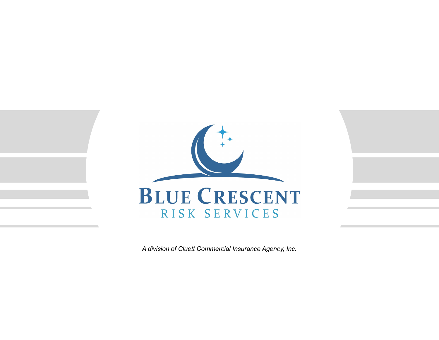

*A division of Cluett Commercial Insurance Agency, Inc.*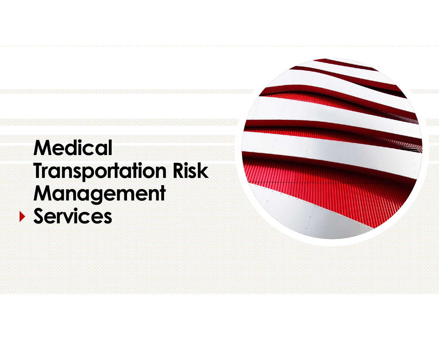## **Medical Transportation Risk Management Services**

WWWWW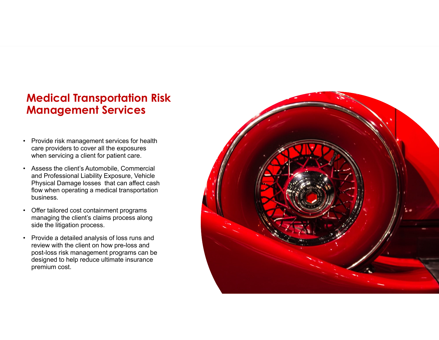## **Medical Transportation Risk Management Services**

- • Provide risk management services for health care providers to cover all the exposures when servicing a client for patient care.
- • Assess the client's Automobile, Commercial and Professional Liability Exposure, Vehicle Physical Damage losses that can affect cash flow when operating a medical transportation business.
- • Offer tailored cost containment programs managing the client's claims process along side the litigation process.
- • Provide a detailed analysis of loss runs and review with the client on how pre-loss and post-loss risk management programs can be designed to help reduce ultimate insurance premium cost.

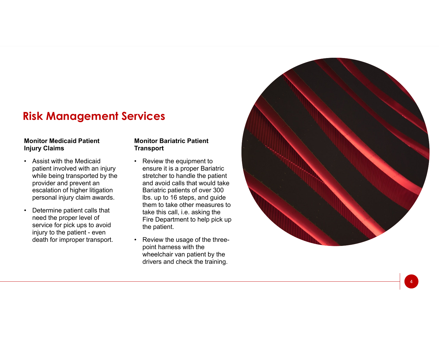## **Risk Management Services**

#### **Monitor Medicaid Patient Injury Claims**

- Assist with the Medicaid patient involved with an injury while being transported by the provider and prevent an escalation of higher litigation personal injury claim awards.
- • Determine patient calls that need the proper level of service for pick ups to avoid injury to the patient - even death for improper transport.

#### **Monitor Bariatric Patient Transport**

- Review the equipment to ensure it is a proper Bariatric stretcher to handle the patient and avoid calls that would take Bariatric patients of over 300 lbs. up to 16 steps, and guide them to take other measures to take this call, i.e. asking the Fire Department to help pick up the patient.
- • Review the usage of the threepoint harness with the wheelchair van patient by the drivers and check the training.



4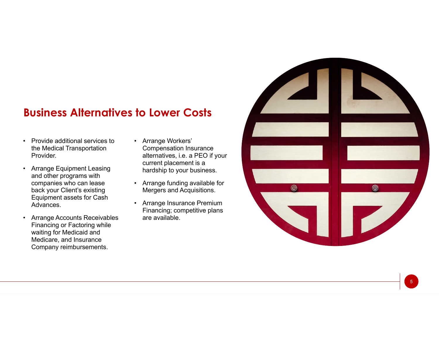## **Business Alternatives to Lower Costs**

- Provide additional services to the Medical Transportation Provider.
- Arrange Equipment Leasing and other programs with companies who can lease back your Client's existing Equipment assets for Cash Advances.
- Arrange Accounts Receivables Financing or Factoring while waiting for Medicaid and Medicare, and Insurance Company reimbursements.
- Arrange Workers' Compensation Insurance alternatives, i.e. a PEO if your current placement is a hardship to your business.
- Arrange funding available for Mergers and Acquisitions.
- Arrange Insurance Premium Financing; competitive plans are available.

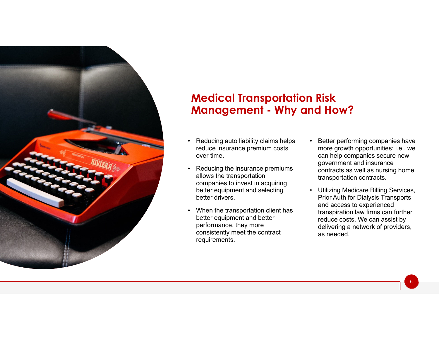

### **Medical Transportation Risk Management - Why and How?**

- Reducing auto liability claims helps reduce insurance premium costs over time.
- Reducing the insurance premiums allows the transportation companies to invest in acquiring better equipment and selecting better drivers.
- • When the transportation client has better equipment and better performance, they more consistently meet the contract requirements.
- • Better performing companies have more growth opportunities; i.e., we can help companies secure new government and insurance contracts as well as nursing home transportation contracts.
- • Utilizing Medicare Billing Services, Prior Auth for Dialysis Transports and access to experienced transpiration law firms can further reduce costs. We can assist by delivering a network of providers, as needed.

6